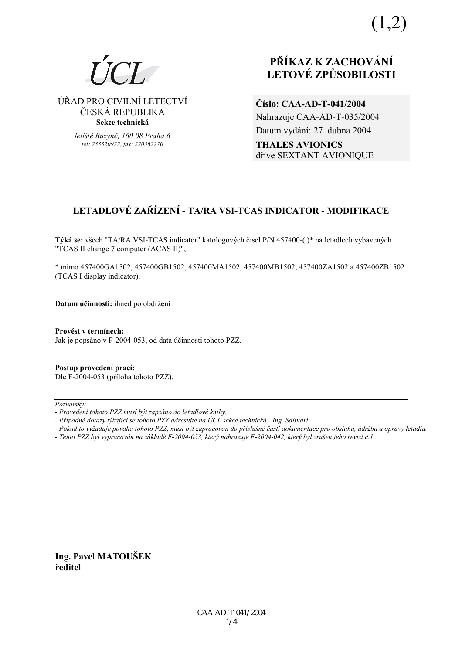$(1,2)$ 



⁄ŘAD PRO CIVILNÕ LETECTVÕ ČESKÁ REPUBLIKA **Sekce technická** 

> *letiötě Ruzyně, 160 08 Praha 6 tel: 233320922, fax: 220562270*

# **PŘÍKAZ K ZACHOVÁNÍ LETOV… ZPŮSOBILOSTI**

**ČÌslo: CAA-AD-T-041/2004**  Nahrazuje CAA-AD-T-035/2004 Datum vydání: 27. dubna 2004 **THALES AVIONICS** dřÌve SEXTANT AVIONIQUE

# **LETADLOV… ZAŘÕZENÕ - TA/RA VSI-TCAS INDICATOR - MODIFIKACE**

**Týká se:** všech "TA/RA VSI-TCAS indicator" katologových čísel P/N 457400-()\* na letadlech vybavených "TCAS II change 7 computer (ACAS II)",

\* mimo 457400GA1502, 457400GB1502, 457400MA1502, 457400MB1502, 457400ZA1502 a 457400ZB1502 (TCAS I display indicator).

**Datum účinnosti:** ihned po obdržení

**ProvÈst v termÌnech:**  Jak je popsáno v F-2004-053, od data účinnosti tohoto PZZ.

**Postup provedenÌ pracÌ:**  Dle F-2004-053 (příloha tohoto PZZ).

Poznámky:

*- Tento PZZ byl vypracov·n na z·kladě F-2004-053, kter˝ nahrazuje F-2004-042, kter˝ byl zruöen jeho revizÌ č.1.* 

**Ing. Pavel MATOUäEK ředitel** 

*<sup>-</sup> ProvedenÌ tohoto PZZ musÌ b˝t zaps·no do letadlovÈ knihy.* 

<sup>-</sup> Případné dotazy týkající se tohoto PZZ adresujte na ÚCL sekce technická - Ing. Saltuari.

*<sup>-</sup> Pokud to vyûaduje povaha tohoto PZZ, musÌ b˝t zapracov·n do přÌsluönÈ č·sti dokumentace pro obsluhu, ˙drûbu a opravy letadla.*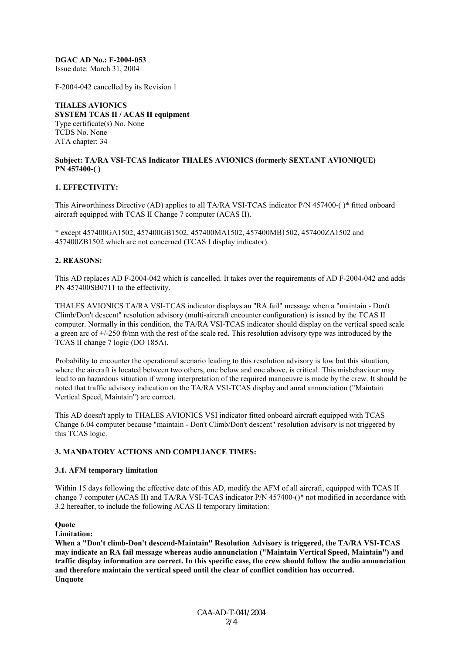#### **DGAC AD No.: F-2004-053**

Issue date: March 31, 2004

F-2004-042 cancelled by its Revision 1

**THALES AVIONICS SYSTEM TCAS II / ACAS II equipment**  Type certificate(s) No. None TCDS No. None ATA chapter: 34

#### **Subject: TA/RA VSI-TCAS Indicator THALES AVIONICS (formerly SEXTANT AVIONIQUE) PN 457400-( )**

## **1. EFFECTIVITY:**

This Airworthiness Directive (AD) applies to all TA/RA VSI-TCAS indicator P/N 457400-( )\* fitted onboard aircraft equipped with TCAS II Change 7 computer (ACAS II).

\* except 457400GA1502, 457400GB1502, 457400MA1502, 457400MB1502, 457400ZA1502 and 457400ZB1502 which are not concerned (TCAS I display indicator).

#### **2. REASONS:**

This AD replaces AD F-2004-042 which is cancelled. It takes over the requirements of AD F-2004-042 and adds PN 457400SB0711 to the effectivity.

THALES AVIONICS TA/RA VSI-TCAS indicator displays an "RA fail" message when a "maintain - Don't Climb/Don't descent" resolution advisory (multi-aircraft encounter configuration) is issued by the TCAS II computer. Normally in this condition, the TA/RA VSI-TCAS indicator should display on the vertical speed scale a green arc of +/-250 ft/mn with the rest of the scale red. This resolution advisory type was introduced by the TCAS II change 7 logic (DO 185A).

Probability to encounter the operational scenario leading to this resolution advisory is low but this situation, where the aircraft is located between two others, one below and one above, is critical. This misbehaviour may lead to an hazardous situation if wrong interpretation of the required manoeuvre is made by the crew. It should be noted that traffic advisory indication on the TA/RA VSI-TCAS display and aural annunciation ("Maintain Vertical Speed, Maintain") are correct.

This AD doesn't apply to THALES AVIONICS VSI indicator fitted onboard aircraft equipped with TCAS Change 6.04 computer because "maintain - Don't Climb/Don't descent" resolution advisory is not triggered by this TCAS logic.

#### **3. MANDATORY ACTIONS AND COMPLIANCE TIMES:**

#### **3.1. AFM temporary limitation**

Within 15 days following the effective date of this AD, modify the AFM of all aircraft, equipped with TCAS II change 7 computer (ACAS II) and TA/RA VSI-TCAS indicator P/N 457400-()\* not modified in accordance with 3.2 hereafter, to include the following ACAS II temporary limitation:

#### **Quote**

**Limitation:**

**When a "Don't climb-Don't descend-Maintain" Resolution Advisory is triggered, the TA/RA VSI-TCAS may indicate an RA fail message whereas audio annunciation ("Maintain Vertical Speed, Maintain") and traffic display information are correct. In this specific case, the crew should follow the audio annunciation and therefore maintain the vertical speed until the clear of conflict condition has occurred. Unquote**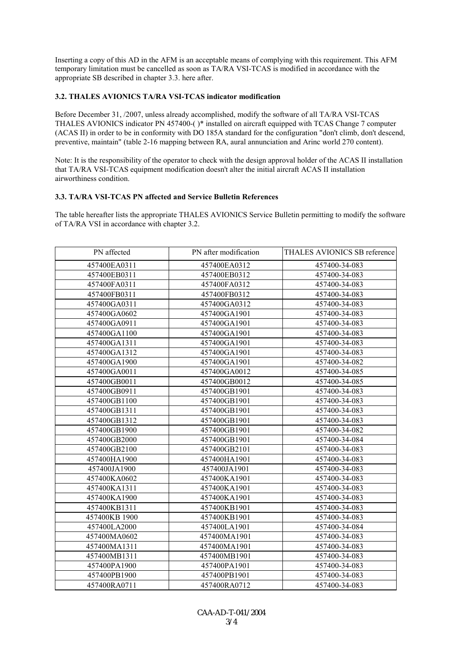Inserting a copy of this AD in the AFM is an acceptable means of complying with this requirement. This AFM temporary limitation must be cancelled as soon as TA/RA VSI-TCAS is modified in accordance with the appropriate SB described in chapter 3.3. here after.

## **3.2. THALES AVIONICS TA/RA VSI-TCAS indicator modification**

Before December 31, /2007, unless already accomplished, modify the software of all TA/RA VSI-TCAS THALES AVIONICS indicator PN 457400-( )\* installed on aircraft equipped with TCAS Change 7 computer (ACAS II) in order to be in conformity with DO 185A standard for the configuration "don't climb, don't descend, preventive, maintain" (table 2-16 mapping between RA, aural annunciation and Arinc world 270 content).

Note: It is the responsibility of the operator to check with the design approval holder of the ACAS II installation that TA/RA VSI-TCAS equipment modification doesn't alter the initial aircraft ACAS II installation airworthiness condition.

#### **3.3. TA/RA VSI-TCAS PN affected and Service Bulletin References**

The table hereafter lists the appropriate THALES AVIONICS Service Bulletin permitting to modify the software of TA/RA VSI in accordance with chapter 3.2.

| PN affected   | PN after modification | THALES AVIONICS SB reference |
|---------------|-----------------------|------------------------------|
| 457400EA0311  | 457400EA0312          | 457400-34-083                |
| 457400EB0311  | 457400EB0312          | 457400-34-083                |
| 457400FA0311  | 457400FA0312          | 457400-34-083                |
| 457400FB0311  | 457400FB0312          | 457400-34-083                |
| 457400GA0311  | 457400GA0312          | 457400-34-083                |
| 457400GA0602  | 457400GA1901          | 457400-34-083                |
| 457400GA0911  | 457400GA1901          | 457400-34-083                |
| 457400GA1100  | 457400GA1901          | 457400-34-083                |
| 457400GA1311  | 457400GA1901          | 457400-34-083                |
| 457400GA1312  | 457400GA1901          | 457400-34-083                |
| 457400GA1900  | 457400GA1901          | 457400-34-082                |
| 457400GA0011  | 457400GA0012          | 457400-34-085                |
| 457400GB0011  | 457400GB0012          | 457400-34-085                |
| 457400GB0911  | 457400GB1901          | 457400-34-083                |
| 457400GB1100  | 457400GB1901          | 457400-34-083                |
| 457400GB1311  | 457400GB1901          | 457400-34-083                |
| 457400GB1312  | 457400GB1901          | 457400-34-083                |
| 457400GB1900  | 457400GB1901          | 457400-34-082                |
| 457400GB2000  | 457400GB1901          | 457400-34-084                |
| 457400GB2100  | 457400GB2101          | 457400-34-083                |
| 457400HA1900  | 457400HA1901          | 457400-34-083                |
| 457400JA1900  | 457400JA1901          | 457400-34-083                |
| 457400KA0602  | 457400KA1901          | 457400-34-083                |
| 457400KA1311  | 457400KA1901          | 457400-34-083                |
| 457400KA1900  | 457400KA1901          | 457400-34-083                |
| 457400KB1311  | 457400KB1901          | 457400-34-083                |
| 457400KB 1900 | 457400KB1901          | 457400-34-083                |
| 457400LA2000  | 457400LA1901          | 457400-34-084                |
| 457400MA0602  | 457400MA1901          | 457400-34-083                |
| 457400MA1311  | 457400MA1901          | 457400-34-083                |
| 457400MB1311  | 457400MB1901          | 457400-34-083                |
| 457400PA1900  | 457400PA1901          | 457400-34-083                |
| 457400PB1900  | 457400PB1901          | 457400-34-083                |
| 457400RA0711  | 457400RA0712          | 457400-34-083                |